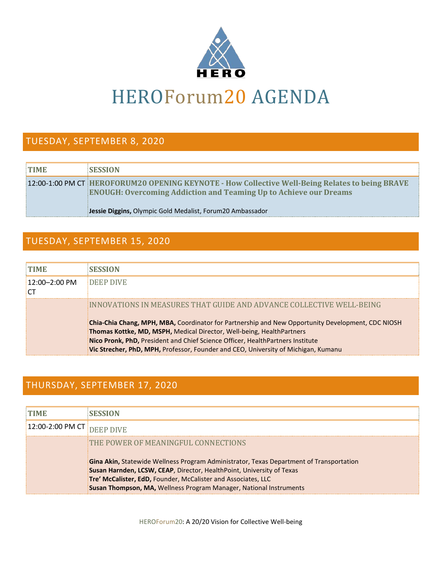

# HEROForum20 AGENDA

#### TUESDAY, SEPTEMBER 8, 2020

| <b>TIME</b> | <b>SESSION</b>                                                                                                                                                              |
|-------------|-----------------------------------------------------------------------------------------------------------------------------------------------------------------------------|
|             | 12:00-1:00 PM CT HEROFORUM20 OPENING KEYNOTE - How Collective Well-Being Relates to being BRAVE<br><b>ENOUGH: Overcoming Addiction and Teaming Up to Achieve our Dreams</b> |
|             | <b>Jessie Diggins, Olympic Gold Medalist, Forum20 Ambassador</b>                                                                                                            |

#### TUESDAY, SEPTEMBER 15, 2020

| TIME              | <b>IESSION</b>                                                                                                                                                                                                                                                                                                                                                                                                                    |
|-------------------|-----------------------------------------------------------------------------------------------------------------------------------------------------------------------------------------------------------------------------------------------------------------------------------------------------------------------------------------------------------------------------------------------------------------------------------|
| $12:00 - 2:00$ PM | DEEP DIVE                                                                                                                                                                                                                                                                                                                                                                                                                         |
|                   | INNOVATIONS IN MEASURES THAT GUIDE AND ADVANCE COLLECTIVE WELL-BEING<br><b>Chia-Chia Chang, MPH, MBA, Coordinator for Partnership and New Opportunity Development, CDC NIOSH</b><br>Thomas Kottke, MD, MSPH, Medical Director, Well-being, HealthPartners<br>Nico Pronk, PhD, President and Chief Science Officer, HealthPartners Institute<br>Vic Strecher, PhD, MPH, Professor, Founder and CEO, University of Michigan, Kumanu |

## THURSDAY, SEPTEMBER 17, 2020

| 12:00-2:00 PM CT DEEP |                                                                                                                                                                                                                                                                                                                |
|-----------------------|----------------------------------------------------------------------------------------------------------------------------------------------------------------------------------------------------------------------------------------------------------------------------------------------------------------|
|                       | THE POWER OF MEANINGFUL CONNECTIONS                                                                                                                                                                                                                                                                            |
|                       | <b>Gina Akin,</b> Statewide Wellness Program Administrator, Texas Department of Transportation<br>Susan Harnden, LCSW, CEAP, Director, HealthPoint, University of Texas<br>Tre' McCalister, EdD, Founder, McCalister and Associates, LLC<br>Susan Thompson, MA, Wellness Program Manager, National Instruments |

HEROForum20: A 20/20 Vision for Collective Well-being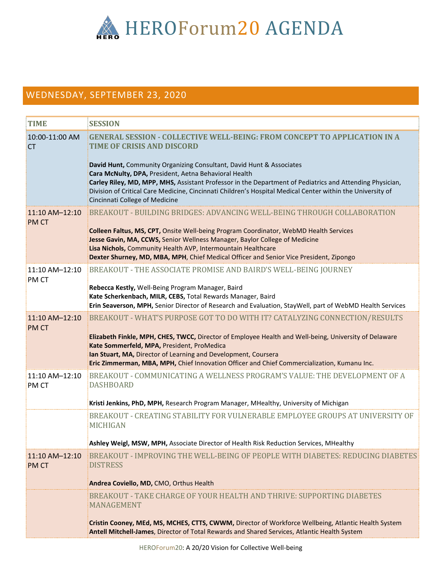

## WEDNESDAY, SEPTEMBER 23, 2020

| <b>TIME</b>                   | <b>SESSION</b>                                                                                                                                                                                                                                                                                                    |
|-------------------------------|-------------------------------------------------------------------------------------------------------------------------------------------------------------------------------------------------------------------------------------------------------------------------------------------------------------------|
| 10:00-11:00 AM<br><b>CT</b>   | <b>GENERAL SESSION - COLLECTIVE WELL-BEING: FROM CONCEPT TO APPLICATION IN A</b><br><b>TIME OF CRISIS AND DISCORD</b><br>David Hunt, Community Organizing Consultant, David Hunt & Associates                                                                                                                     |
|                               | Cara McNulty, DPA, President, Aetna Behavioral Health<br>Carley Riley, MD, MPP, MHS, Assistant Professor in the Department of Pediatrics and Attending Physician,<br>Division of Critical Care Medicine, Cincinnati Children's Hospital Medical Center within the University of<br>Cincinnati College of Medicine |
| 11:10 AM-12:10<br><b>PMCT</b> | BREAKOUT - BUILDING BRIDGES: ADVANCING WELL-BEING THROUGH COLLABORATION                                                                                                                                                                                                                                           |
|                               | Colleen Faltus, MS, CPT, Onsite Well-being Program Coordinator, WebMD Health Services<br>Jesse Gavin, MA, CCWS, Senior Wellness Manager, Baylor College of Medicine<br>Lisa Nichols, Community Health AVP, Intermountain Healthcare                                                                               |
|                               | Dexter Shurney, MD, MBA, MPH, Chief Medical Officer and Senior Vice President, Zipongo                                                                                                                                                                                                                            |
| 11:10 AM-12:10<br>PM CT       | BREAKOUT - THE ASSOCIATE PROMISE AND BAIRD'S WELL-BEING JOURNEY                                                                                                                                                                                                                                                   |
|                               | Rebecca Kestly, Well-Being Program Manager, Baird<br>Kate Scherkenbach, MILR, CEBS, Total Rewards Manager, Baird<br>Erin Seaverson, MPH, Senior Director of Research and Evaluation, StayWell, part of WebMD Health Services                                                                                      |
| 11:10 AM-12:10<br><b>PMCT</b> | BREAKOUT - WHAT'S PURPOSE GOT TO DO WITH IT? CATALYZING CONNECTION/RESULTS                                                                                                                                                                                                                                        |
|                               | Elizabeth Finkle, MPH, CHES, TWCC, Director of Employee Health and Well-being, University of Delaware<br>Kate Sommerfeld, MPA, President, ProMedica<br>Ian Stuart, MA, Director of Learning and Development, Coursera                                                                                             |
|                               | Eric Zimmerman, MBA, MPH, Chief Innovation Officer and Chief Commercialization, Kumanu Inc.                                                                                                                                                                                                                       |
| 11:10 AM-12:10<br><b>PMCT</b> | BREAKOUT - COMMUNICATING A WELLNESS PROGRAM'S VALUE: THE DEVELOPMENT OF A<br><b>DASHBOARD</b>                                                                                                                                                                                                                     |
|                               | Kristi Jenkins, PhD, MPH, Research Program Manager, MHealthy, University of Michigan                                                                                                                                                                                                                              |
|                               | BREAKOUT - CREATING STABILITY FOR VULNERABLE EMPLOYEE GROUPS AT UNIVERSITY OF<br><b>MICHIGAN</b>                                                                                                                                                                                                                  |
|                               | Ashley Weigl, MSW, MPH, Associate Director of Health Risk Reduction Services, MHealthy                                                                                                                                                                                                                            |
| 11:10 AM-12:10                | BREAKOUT - IMPROVING THE WELL-BEING OF PEOPLE WITH DIABETES: REDUCING DIABETES                                                                                                                                                                                                                                    |
| <b>PMCT</b>                   | <b>DISTRESS</b>                                                                                                                                                                                                                                                                                                   |
|                               | Andrea Coviello, MD, CMO, Orthus Health                                                                                                                                                                                                                                                                           |
|                               | BREAKOUT - TAKE CHARGE OF YOUR HEALTH AND THRIVE: SUPPORTING DIABETES<br><b>MANAGEMENT</b>                                                                                                                                                                                                                        |
|                               | Cristin Cooney, MEd, MS, MCHES, CTTS, CWWM, Director of Workforce Wellbeing, Atlantic Health System<br>Antell Mitchell-James, Director of Total Rewards and Shared Services, Atlantic Health System                                                                                                               |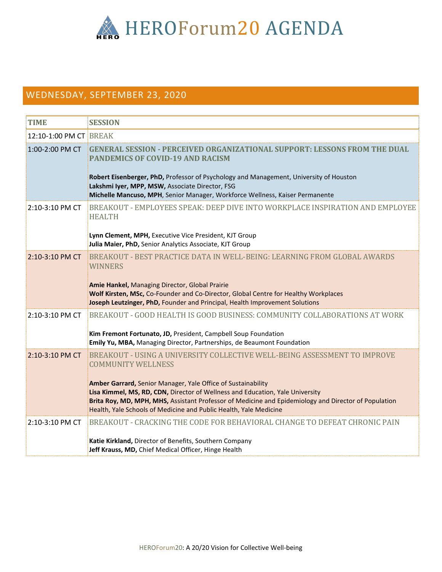

## WEDNESDAY, SEPTEMBER 23, 2020

| <b>TIME</b>            | <b>SESSION</b>                                                                                                                                                                                                                                                                                                                                                                                                                       |
|------------------------|--------------------------------------------------------------------------------------------------------------------------------------------------------------------------------------------------------------------------------------------------------------------------------------------------------------------------------------------------------------------------------------------------------------------------------------|
| 12:10-1:00 PM CT BREAK |                                                                                                                                                                                                                                                                                                                                                                                                                                      |
| 1:00-2:00 PM CT        | <b>GENERAL SESSION - PERCEIVED ORGANIZATIONAL SUPPORT: LESSONS FROM THE DUAL</b><br><b>PANDEMICS OF COVID-19 AND RACISM</b><br>Robert Eisenberger, PhD, Professor of Psychology and Management, University of Houston<br>Lakshmi Iyer, MPP, MSW, Associate Director, FSG<br>Michelle Mancuso, MPH, Senior Manager, Workforce Wellness, Kaiser Permanente                                                                             |
| 2:10-3:10 PM CT        | BREAKOUT - EMPLOYEES SPEAK: DEEP DIVE INTO WORKPLACE INSPIRATION AND EMPLOYEE<br><b>HEALTH</b><br>Lynn Clement, MPH, Executive Vice President, KJT Group<br>Julia Maier, PhD, Senior Analytics Associate, KJT Group                                                                                                                                                                                                                  |
| 2:10-3:10 PM CT        | BREAKOUT - BEST PRACTICE DATA IN WELL-BEING: LEARNING FROM GLOBAL AWARDS<br><b>WINNERS</b><br>Amie Hankel, Managing Director, Global Prairie<br>Wolf Kirsten, MSc, Co-Founder and Co-Director, Global Centre for Healthy Workplaces<br>Joseph Leutzinger, PhD, Founder and Principal, Health Improvement Solutions                                                                                                                   |
| 2:10-3:10 PM CT        | BREAKOUT - GOOD HEALTH IS GOOD BUSINESS: COMMUNITY COLLABORATIONS AT WORK<br>Kim Fremont Fortunato, JD, President, Campbell Soup Foundation<br>Emily Yu, MBA, Managing Director, Partnerships, de Beaumont Foundation                                                                                                                                                                                                                |
| 2:10-3:10 PM CT        | BREAKOUT - USING A UNIVERSITY COLLECTIVE WELL-BEING ASSESSMENT TO IMPROVE<br><b>COMMUNITY WELLNESS</b><br>Amber Garrard, Senior Manager, Yale Office of Sustainability<br>Lisa Kimmel, MS, RD, CDN, Director of Wellness and Education, Yale University<br>Brita Roy, MD, MPH, MHS, Assistant Professor of Medicine and Epidemiology and Director of Population<br>Health, Yale Schools of Medicine and Public Health, Yale Medicine |
| 2:10-3:10 PM CT        | BREAKOUT - CRACKING THE CODE FOR BEHAVIORAL CHANGE TO DEFEAT CHRONIC PAIN<br>Katie Kirkland, Director of Benefits, Southern Company<br>Jeff Krauss, MD, Chief Medical Officer, Hinge Health                                                                                                                                                                                                                                          |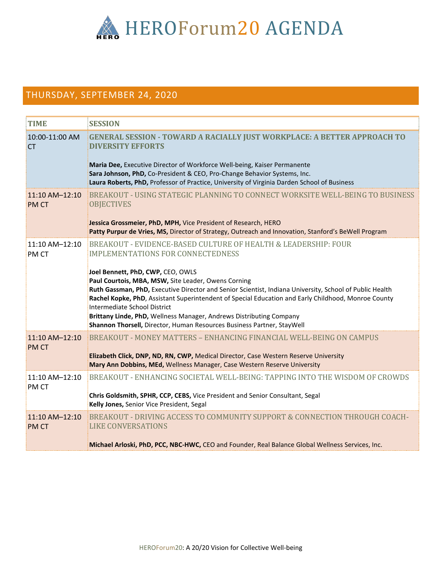

#### THURSDAY, SEPTEMBER 24, 2020

| <b>TIME</b>                   | <b>SESSION</b>                                                                                                                                                                                                                                                                                                                                                                                                                                                                                                                                                                                            |
|-------------------------------|-----------------------------------------------------------------------------------------------------------------------------------------------------------------------------------------------------------------------------------------------------------------------------------------------------------------------------------------------------------------------------------------------------------------------------------------------------------------------------------------------------------------------------------------------------------------------------------------------------------|
| 10:00-11:00 AM<br><b>CT</b>   | <b>GENERAL SESSION - TOWARD A RACIALLY JUST WORKPLACE: A BETTER APPROACH TO</b><br><b>DIVERSITY EFFORTS</b><br>Maria Dee, Executive Director of Workforce Well-being, Kaiser Permanente<br>Sara Johnson, PhD, Co-President & CEO, Pro-Change Behavior Systems, Inc.<br>Laura Roberts, PhD, Professor of Practice, University of Virginia Darden School of Business                                                                                                                                                                                                                                        |
| 11:10 AM-12:10<br><b>PMCT</b> | BREAKOUT - USING STATEGIC PLANNING TO CONNECT WORKSITE WELL-BEING TO BUSINESS<br><b>OBJECTIVES</b><br>Jessica Grossmeier, PhD, MPH, Vice President of Research, HERO<br>Patty Purpur de Vries, MS, Director of Strategy, Outreach and Innovation, Stanford's BeWell Program                                                                                                                                                                                                                                                                                                                               |
| 11:10 AM-12:10<br><b>PMCT</b> | BREAKOUT - EVIDENCE-BASED CULTURE OF HEALTH & LEADERSHIP: FOUR<br><b>IMPLEMENTATIONS FOR CONNECTEDNESS</b><br>Joel Bennett, PhD, CWP, CEO, OWLS<br>Paul Courtois, MBA, MSW, Site Leader, Owens Corning<br>Ruth Gassman, PhD, Executive Director and Senior Scientist, Indiana University, School of Public Health<br>Rachel Kopke, PhD, Assistant Superintendent of Special Education and Early Childhood, Monroe County<br>Intermediate School District<br>Brittany Linde, PhD, Wellness Manager, Andrews Distributing Company<br>Shannon Thorsell, Director, Human Resources Business Partner, StayWell |
| 11:10 AM-12:10<br>PM CT       | BREAKOUT - MONEY MATTERS - ENHANCING FINANCIAL WELL-BEING ON CAMPUS<br>Elizabeth Click, DNP, ND, RN, CWP, Medical Director, Case Western Reserve University<br>Mary Ann Dobbins, MEd, Wellness Manager, Case Western Reserve University                                                                                                                                                                                                                                                                                                                                                                   |
| 11:10 AM-12:10<br><b>PMCT</b> | BREAKOUT - ENHANCING SOCIETAL WELL-BEING: TAPPING INTO THE WISDOM OF CROWDS<br>Chris Goldsmith, SPHR, CCP, CEBS, Vice President and Senior Consultant, Segal<br>Kelly Jones, Senior Vice President, Segal                                                                                                                                                                                                                                                                                                                                                                                                 |
| 11:10 AM-12:10<br><b>PMCT</b> | BREAKOUT - DRIVING ACCESS TO COMMUNITY SUPPORT & CONNECTION THROUGH COACH-<br><b>LIKE CONVERSATIONS</b><br>Michael Arloski, PhD, PCC, NBC-HWC, CEO and Founder, Real Balance Global Wellness Services, Inc.                                                                                                                                                                                                                                                                                                                                                                                               |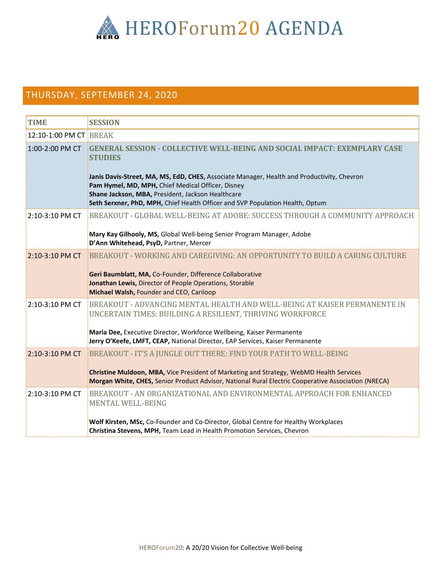

## THURSDAY, SEPTEMBER 24, 2020

| <b>TIME</b>            | <b>SESSION</b>                                                                                                                                                                                                                                                                                                                                                                              |
|------------------------|---------------------------------------------------------------------------------------------------------------------------------------------------------------------------------------------------------------------------------------------------------------------------------------------------------------------------------------------------------------------------------------------|
| 12:10-1:00 PM CT BREAK |                                                                                                                                                                                                                                                                                                                                                                                             |
| 1:00-2:00 PM CT        | <b>GENERAL SESSION - COLLECTIVE WELL-BEING AND SOCIAL IMPACT: EXEMPLARY CASE</b><br><b>STUDIES</b><br>Janis Davis-Street, MA, MS, EdD, CHES, Associate Manager, Health and Productivity, Chevron<br>Pam Hymel, MD, MPH, Chief Medical Officer, Disney<br>Shane Jackson, MBA, President, Jackson Healthcare<br>Seth Serxner, PhD, MPH, Chief Health Officer and SVP Population Health, Optum |
| 2:10-3:10 PM CT        | BREAKOUT - GLOBAL WELL-BEING AT ADOBE: SUCCESS THROUGH A COMMUNITY APPROACH<br>Mary Kay Gilhooly, MS, Global Well-being Senior Program Manager, Adobe<br>D'Ann Whitehead, PsyD, Partner, Mercer                                                                                                                                                                                             |
| 2:10-3:10 PM CT        | BREAKOUT - WORKING AND CAREGIVING: AN OPPORTUNITY TO BUILD A CARING CULTURE<br>Geri Baumblatt, MA, Co-Founder, Difference Collaborative<br>Jonathan Lewis, Director of People Operations, Storable<br>Michael Walsh, Founder and CEO, Cariloop                                                                                                                                              |
| 2:10-3:10 PM CT        | BREAKOUT - ADVANCING MENTAL HEALTH AND WELL-BEING AT KAISER PERMANENTE IN<br>UNCERTAIN TIMES: BUILDING A RESILIENT, THRIVING WORKFORCE<br>Maria Dee, Executive Director, Workforce Wellbeing, Kaiser Permanente<br>Jerry O'Keefe, LMFT, CEAP, National Director, EAP Services, Kaiser Permanente                                                                                            |
| 2:10-3:10 PM CT        | BREAKOUT - IT'S A JUNGLE OUT THERE: FIND YOUR PATH TO WELL-BEING<br>Christine Muldoon, MBA, Vice President of Marketing and Strategy, WebMD Health Services<br>Morgan White, CHES, Senior Product Advisor, National Rural Electric Cooperative Association (NRECA)                                                                                                                          |
| 2:10-3:10 PM CT        | BREAKOUT - AN ORGANIZATIONAL AND ENVIRONMENTAL APPROACH FOR ENHANCED<br><b>MENTAL WELL-BEING</b><br>Wolf Kirsten, MSc, Co-Founder and Co-Director, Global Centre for Healthy Workplaces<br>Christina Stevens, MPH, Team Lead in Health Promotion Services, Chevron                                                                                                                          |